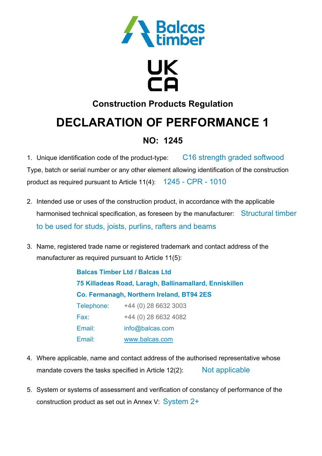

# UK<br>CA

### **Construction Products Regulation**

## **DECLARATION OF PERFORMANCE 1**

### **NO: 1245**

1. Unique identification code of the product-type: C16 strength graded softwood Type, batch or serial number or any other element allowing identification of the construction product as required pursuant to Article 11(4): 1245 - CPR - 1010

- 2. Intended use or uses of the construction product, in accordance with the applicable harmonised technical specification, as foreseen by the manufacturer: Structural timber to be used for studs, joists, purlins, rafters and beams
- 3. Name, registered trade name or registered trademark and contact address of the manufacturer as required pursuant to Article 11(5):

**Balcas Timber Ltd / Balcas Ltd 75 Killadeas Road, Laragh, Ballinamallard, Enniskillen Co. Fermanagh, Northern Ireland, BT94 2ES**  Telephone: +44 (0) 28 6632 3003 Fax: +44 (0) 28 6632 4082 Email: info@balcas.com Email: www.balcas.com

- 4. Where applicable, name and contact address of the authorised representative whose mandate covers the tasks specified in Article 12(2): Not applicable
- 5. System or systems of assessment and verification of constancy of performance of the construction product as set out in Annex V: System 2+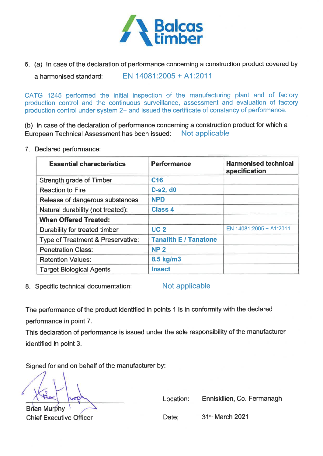

6. (a) In case of the declaration of performance concerning a construction product covered by

EN 14081:2005 + A1:2011 a harmonised standard:

CATG 1245 performed the initial inspection of the manufacturing plant and of factory production control and the continuous surveillance, assessment and evaluation of factory production control under system 2+ and issued the certificate of constancy of performance.

(b) In case of the declaration of performance concerning a construction product for which a Not applicable European Technical Assessment has been issued:

7. Declared performance:

| <b>Essential characteristics</b>  | <b>Performance</b>           | <b>Harmonised technical</b><br>specification |
|-----------------------------------|------------------------------|----------------------------------------------|
| Strength grade of Timber          | C <sub>16</sub>              |                                              |
| <b>Reaction to Fire</b>           | <b>D-s2, d0</b>              |                                              |
| Release of dangerous substances   | <b>NPD</b>                   |                                              |
| Natural durability (not treated): | <b>Class 4</b>               |                                              |
| <b>When Offered Treated:</b>      |                              |                                              |
| Durability for treated timber     | <b>UC2</b>                   | EN 14081:2005 + A1:2011                      |
| Type of Treatment & Preservative: | <b>Tanalith E / Tanatone</b> |                                              |
| <b>Penetration Class:</b>         | <b>NP2</b>                   |                                              |
| <b>Retention Values:</b>          | 8.5 kg/m3                    |                                              |
| <b>Target Biological Agents</b>   | <b>Insect</b>                |                                              |

8. Specific technical documentation:

Not applicable

The performance of the product identified in points 1 is in conformity with the declared performance in point 7.

This declaration of performance is issued under the sole responsibility of the manufacturer identified in point 3.

Signed for and on behalf of the manufacturer by:

**Brian Murphy Chief Executive Officer**  Location: Enniskillen, Co. Fermanagh

Date;

31<sup>st</sup> March 2021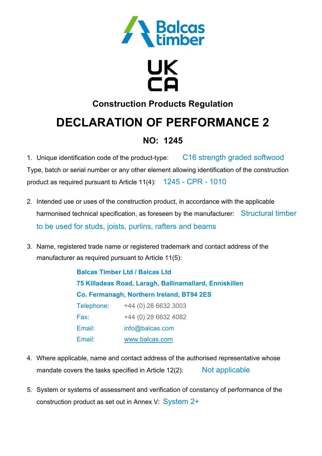

# UK<br>CA

### **Construction Products Regulation**

### **DECLARATION OF PERFORMANCE 2**

### **NO: 1245**

1. Unique identification code of the product-type: C16 strength graded softwood Type, batch or serial number or any other element allowing identification of the construction product as required pursuant to Article 11(4): 1245 - CPR - 1010

- 2. Intended use or uses of the construction product, in accordance with the applicable harmonised technical specification, as foreseen by the manufacturer: Structural timber to be used for studs, joists, purlins, rafters and beams
- 3. Name, registered trade name or registered trademark and contact address of the manufacturer as required pursuant to Article 11(5):

**Balcas Timber Ltd / Balcas Ltd 75 Killadeas Road, Laragh, Ballinamallard, Enniskillen Co. Fermanagh, Northern Ireland, BT94 2ES**  Telephone: +44 (0) 28 6632 3003 Fax: +44 (0) 28 6632 4082 Email: info@balcas.com Email: www.balcas.com

- 4. Where applicable, name and contact address of the authorised representative whose mandate covers the tasks specified in Article 12(2): Not applicable
- 5. System or systems of assessment and verification of constancy of performance of the construction product as set out in Annex V: System 2+